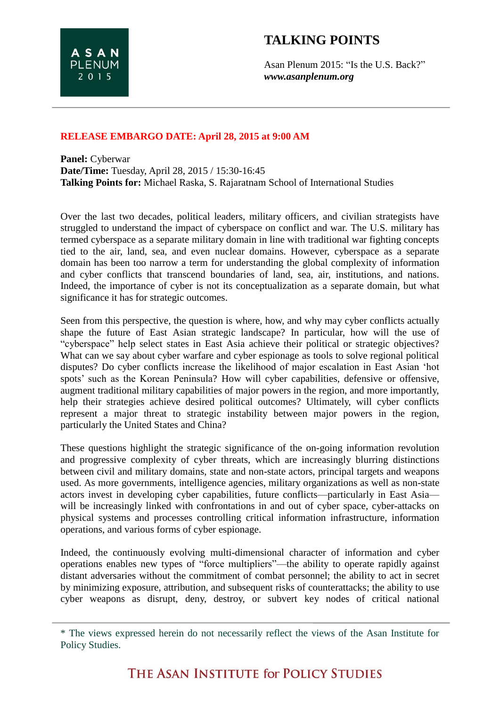## **TALKING POINTS**

Asan Plenum 2015: "Is the U.S. Back?" *www.asanplenum.org*

## **RELEASE EMBARGO DATE: April 28, 2015 at 9:00 AM**

**Panel:** Cyberwar **Date/Time:** Tuesday, April 28, 2015 / 15:30-16:45 **Talking Points for:** Michael Raska, S. Rajaratnam School of International Studies

Over the last two decades, political leaders, military officers, and civilian strategists have struggled to understand the impact of cyberspace on conflict and war. The U.S. military has termed cyberspace as a separate military domain in line with traditional war fighting concepts tied to the air, land, sea, and even nuclear domains. However, cyberspace as a separate domain has been too narrow a term for understanding the global complexity of information and cyber conflicts that transcend boundaries of land, sea, air, institutions, and nations. Indeed, the importance of cyber is not its conceptualization as a separate domain, but what significance it has for strategic outcomes.

Seen from this perspective, the question is where, how, and why may cyber conflicts actually shape the future of East Asian strategic landscape? In particular, how will the use of "cyberspace" help select states in East Asia achieve their political or strategic objectives? What can we say about cyber warfare and cyber espionage as tools to solve regional political disputes? Do cyber conflicts increase the likelihood of major escalation in East Asian 'hot spots' such as the Korean Peninsula? How will cyber capabilities, defensive or offensive, augment traditional military capabilities of major powers in the region, and more importantly, help their strategies achieve desired political outcomes? Ultimately, will cyber conflicts represent a major threat to strategic instability between major powers in the region, particularly the United States and China?

These questions highlight the strategic significance of the on-going information revolution and progressive complexity of cyber threats, which are increasingly blurring distinctions between civil and military domains, state and non-state actors, principal targets and weapons used. As more governments, intelligence agencies, military organizations as well as non-state actors invest in developing cyber capabilities, future conflicts—particularly in East Asia will be increasingly linked with confrontations in and out of cyber space, cyber-attacks on physical systems and processes controlling critical information infrastructure, information operations, and various forms of cyber espionage.

Indeed, the continuously evolving multi-dimensional character of information and cyber operations enables new types of "force multipliers"—the ability to operate rapidly against distant adversaries without the commitment of combat personnel; the ability to act in secret by minimizing exposure, attribution, and subsequent risks of counterattacks; the ability to use cyber weapons as disrupt, deny, destroy, or subvert key nodes of critical national

<sup>\*</sup> The views expressed herein do not necessarily reflect the views of the Asan Institute for Policy Studies.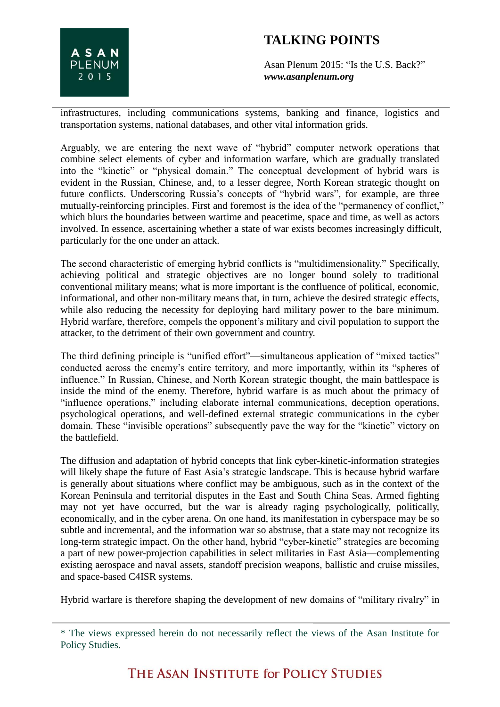

## **TALKING POINTS**

Asan Plenum 2015: "Is the U.S. Back?" *www.asanplenum.org*

infrastructures, including communications systems, banking and finance, logistics and transportation systems, national databases, and other vital information grids.

Arguably, we are entering the next wave of "hybrid" computer network operations that combine select elements of cyber and information warfare, which are gradually translated into the "kinetic" or "physical domain." The conceptual development of hybrid wars is evident in the Russian, Chinese, and, to a lesser degree, North Korean strategic thought on future conflicts. Underscoring Russia's concepts of "hybrid wars", for example, are three mutually-reinforcing principles. First and foremost is the idea of the "permanency of conflict," which blurs the boundaries between wartime and peacetime, space and time, as well as actors involved. In essence, ascertaining whether a state of war exists becomes increasingly difficult, particularly for the one under an attack.

The second characteristic of emerging hybrid conflicts is "multidimensionality." Specifically, achieving political and strategic objectives are no longer bound solely to traditional conventional military means; what is more important is the confluence of political, economic, informational, and other non-military means that, in turn, achieve the desired strategic effects, while also reducing the necessity for deploying hard military power to the bare minimum. Hybrid warfare, therefore, compels the opponent's military and civil population to support the attacker, to the detriment of their own government and country.

The third defining principle is "unified effort"—simultaneous application of "mixed tactics" conducted across the enemy's entire territory, and more importantly, within its "spheres of influence." In Russian, Chinese, and North Korean strategic thought, the main battlespace is inside the mind of the enemy. Therefore, hybrid warfare is as much about the primacy of "influence operations," including elaborate internal communications, deception operations, psychological operations, and well-defined external strategic communications in the cyber domain. These "invisible operations" subsequently pave the way for the "kinetic" victory on the battlefield.

The diffusion and adaptation of hybrid concepts that link cyber-kinetic-information strategies will likely shape the future of East Asia's strategic landscape. This is because hybrid warfare is generally about situations where conflict may be ambiguous, such as in the context of the Korean Peninsula and territorial disputes in the East and South China Seas. Armed fighting may not yet have occurred, but the war is already raging psychologically, politically, economically, and in the cyber arena. On one hand, its manifestation in cyberspace may be so subtle and incremental, and the information war so abstruse, that a state may not recognize its long-term strategic impact. On the other hand, hybrid "cyber-kinetic" strategies are becoming a part of new power-projection capabilities in select militaries in East Asia—complementing existing aerospace and naval assets, standoff precision weapons, ballistic and cruise missiles, and space-based C4ISR systems.

Hybrid warfare is therefore shaping the development of new domains of "military rivalry" in

THE ASAN INSTITUTE for POLICY STUDIES

<sup>\*</sup> The views expressed herein do not necessarily reflect the views of the Asan Institute for Policy Studies.